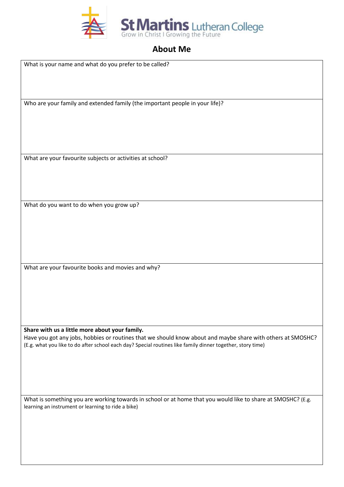

## **About Me**

What is your name and what do you prefer to be called?

Who are your family and extended family (the important people in your life)?

What are your favourite subjects or activities at school?

What do you want to do when you grow up?

What are your favourite books and movies and why?

**Share with us a little more about your family.**

Have you got any jobs, hobbies or routines that we should know about and maybe share with others at SMOSHC? (E.g. what you like to do after school each day? Special routines like family dinner together, story time)

What is something you are working towards in school or at home that you would like to share at SMOSHC? (E.g. learning an instrument or learning to ride a bike)